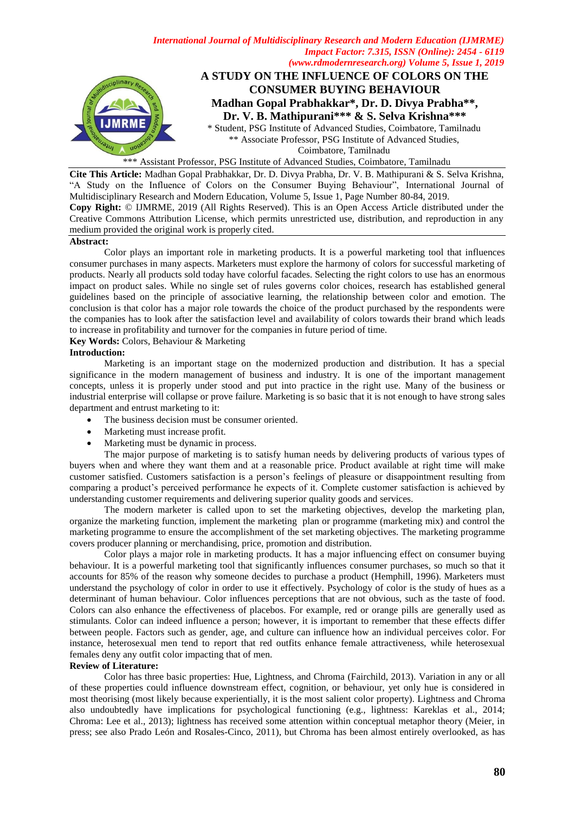

\*\*\* Assistant Professor, PSG Institute of Advanced Studies, Coimbatore, Tamilnadu

**Cite This Article:** Madhan Gopal Prabhakkar, Dr. D. Divya Prabha, Dr. V. B. Mathipurani & S. Selva Krishna, "A Study on the Influence of Colors on the Consumer Buying Behaviour", International Journal of Multidisciplinary Research and Modern Education, Volume 5, Issue 1, Page Number 80-84, 2019. **Copy Right:** © IJMRME, 2019 (All Rights Reserved). This is an Open Access Article distributed under the Creative Commons Attribution License, which permits unrestricted use, distribution, and reproduction in any medium provided the original work is properly cited.

#### **Abstract:**

Color plays an important role in marketing products. It is a powerful marketing tool that influences consumer purchases in many aspects. Marketers must explore the harmony of colors for successful marketing of products. Nearly all products sold today have colorful facades. Selecting the right colors to use has an enormous impact on product sales. While no single set of rules governs color choices, research has established general guidelines based on the principle of associative learning, the relationship between color and emotion. The conclusion is that color has a major role towards the choice of the product purchased by the respondents were the companies has to look after the satisfaction level and availability of colors towards their brand which leads to increase in profitability and turnover for the companies in future period of time.

#### **Key Words:** Colors, Behaviour & Marketing

#### **Introduction:**

Marketing is an important stage on the modernized production and distribution. It has a special significance in the modern management of business and industry. It is one of the important management concepts, unless it is properly under stood and put into practice in the right use. Many of the business or industrial enterprise will collapse or prove failure. Marketing is so basic that it is not enough to have strong sales department and entrust marketing to it:

- The business decision must be consumer oriented.
- Marketing must increase profit.
- Marketing must be dynamic in process.

The major purpose of marketing is to satisfy human needs by delivering products of various types of buyers when and where they want them and at a reasonable price. Product available at right time will make customer satisfied. Customers satisfaction is a person's feelings of pleasure or disappointment resulting from comparing a product's perceived performance he expects of it. Complete customer satisfaction is achieved by understanding customer requirements and delivering superior quality goods and services.

The modern marketer is called upon to set the marketing objectives, develop the marketing plan, organize the marketing function, implement the marketing plan or programme (marketing mix) and control the marketing programme to ensure the accomplishment of the set marketing objectives. The marketing programme covers producer planning or merchandising, price, promotion and distribution.

Color plays a major role in marketing products. It has a major influencing effect on consumer buying behaviour. It is a powerful marketing tool that significantly influences consumer purchases, so much so that it accounts for 85% of the reason why someone decides to purchase a product (Hemphill, 1996). Marketers must understand the psychology of color in order to use it effectively. Psychology of color is the study of hues as a determinant of human behaviour. Color influences perceptions that are not obvious, such as the taste of food. Colors can also enhance the effectiveness of placebos. For example, red or orange pills are generally used as stimulants. Color can indeed influence a person; however, it is important to remember that these effects differ between people. Factors such as gender, age, and culture can influence how an individual perceives color. For instance, heterosexual men tend to report that red outfits enhance female attractiveness, while heterosexual females deny any outfit color impacting that of men.

### **Review of Literature:**

Color has three basic properties: Hue, Lightness, and Chroma (Fairchild, 2013). Variation in any or all of these properties could influence downstream effect, cognition, or behaviour, yet only hue is considered in most theorising (most likely because experientially, it is the most salient color property). Lightness and Chroma also undoubtedly have implications for psychological functioning (e.g., lightness: Kareklas et al., 2014; Chroma: Lee et al., 2013); lightness has received some attention within conceptual metaphor theory (Meier, in press; see also Prado León and Rosales-Cinco, 2011), but Chroma has been almost entirely overlooked, as has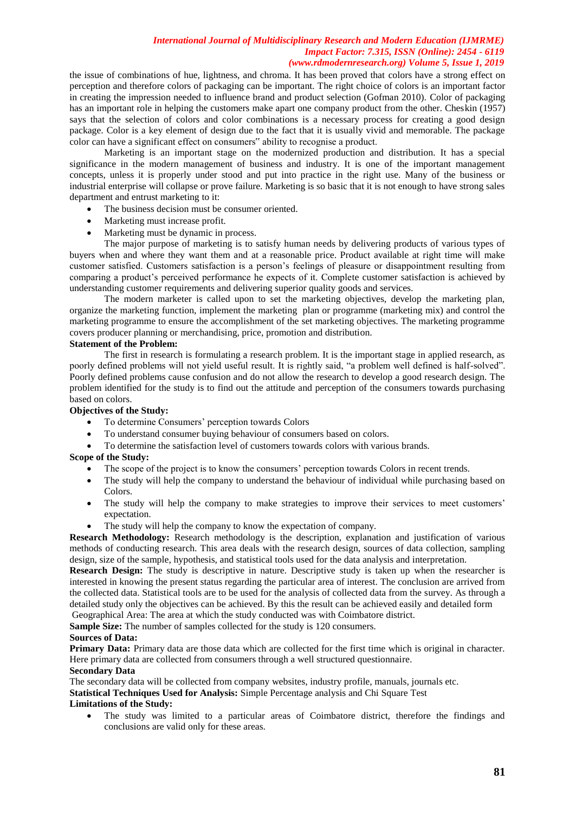the issue of combinations of hue, lightness, and chroma. It has been proved that colors have a strong effect on perception and therefore colors of packaging can be important. The right choice of colors is an important factor in creating the impression needed to influence brand and product selection (Gofman 2010). Color of packaging has an important role in helping the customers make apart one company product from the other. Cheskin (1957) says that the selection of colors and color combinations is a necessary process for creating a good design package. Color is a key element of design due to the fact that it is usually vivid and memorable. The package color can have a significant effect on consumers" ability to recognise a product.

Marketing is an important stage on the modernized production and distribution. It has a special significance in the modern management of business and industry. It is one of the important management concepts, unless it is properly under stood and put into practice in the right use. Many of the business or industrial enterprise will collapse or prove failure. Marketing is so basic that it is not enough to have strong sales department and entrust marketing to it:

- The business decision must be consumer oriented.
- Marketing must increase profit.
- Marketing must be dynamic in process.

The major purpose of marketing is to satisfy human needs by delivering products of various types of buyers when and where they want them and at a reasonable price. Product available at right time will make customer satisfied. Customers satisfaction is a person's feelings of pleasure or disappointment resulting from comparing a product's perceived performance he expects of it. Complete customer satisfaction is achieved by understanding customer requirements and delivering superior quality goods and services.

The modern marketer is called upon to set the marketing objectives, develop the marketing plan, organize the marketing function, implement the marketing plan or programme (marketing mix) and control the marketing programme to ensure the accomplishment of the set marketing objectives. The marketing programme covers producer planning or merchandising, price, promotion and distribution.

### **Statement of the Problem:**

The first in research is formulating a research problem. It is the important stage in applied research, as poorly defined problems will not yield useful result. It is rightly said, "a problem well defined is half-solved". Poorly defined problems cause confusion and do not allow the research to develop a good research design. The problem identified for the study is to find out the attitude and perception of the consumers towards purchasing based on colors.

## **Objectives of the Study:**

- To determine Consumers' perception towards Colors
- To understand consumer buying behaviour of consumers based on colors.
- To determine the satisfaction level of customers towards colors with various brands.

## **Scope of the Study:**

- The scope of the project is to know the consumers' perception towards Colors in recent trends.
- The study will help the company to understand the behaviour of individual while purchasing based on Colors.
- The study will help the company to make strategies to improve their services to meet customers' expectation.
- The study will help the company to know the expectation of company.

**Research Methodology:** Research methodology is the description, explanation and justification of various methods of conducting research. This area deals with the research design, sources of data collection, sampling design, size of the sample, hypothesis, and statistical tools used for the data analysis and interpretation.

**Research Design:** The study is descriptive in nature. Descriptive study is taken up when the researcher is interested in knowing the present status regarding the particular area of interest. The conclusion are arrived from the collected data. Statistical tools are to be used for the analysis of collected data from the survey. As through a detailed study only the objectives can be achieved. By this the result can be achieved easily and detailed form

Geographical Area: The area at which the study conducted was with Coimbatore district.

**Sample Size:** The number of samples collected for the study is 120 consumers.

#### **Sources of Data:**

**Primary Data:** Primary data are those data which are collected for the first time which is original in character. Here primary data are collected from consumers through a well structured questionnaire.

## **Secondary Data**

The secondary data will be collected from company websites, industry profile, manuals, journals etc.

**Statistical Techniques Used for Analysis:** Simple Percentage analysis and Chi Square Test **Limitations of the Study:**

 The study was limited to a particular areas of Coimbatore district, therefore the findings and conclusions are valid only for these areas.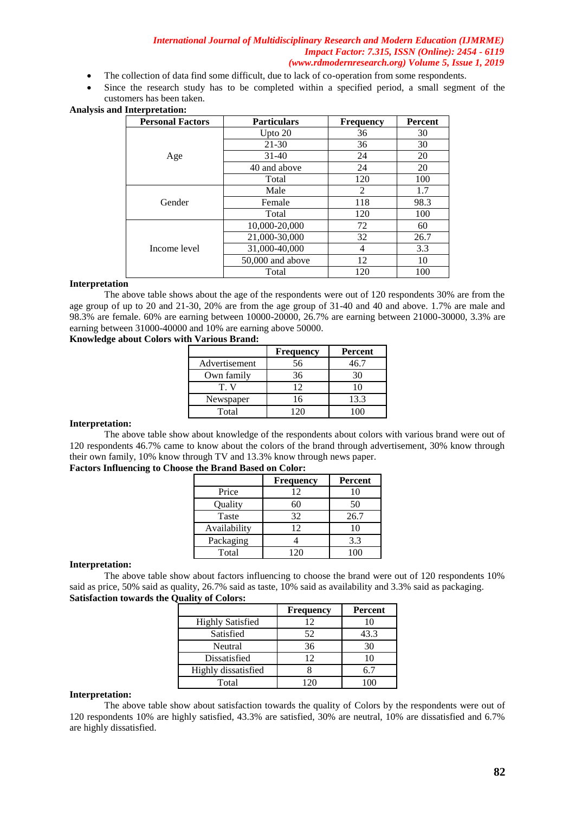- The collection of data find some difficult, due to lack of co-operation from some respondents.
- Since the research study has to be completed within a specified period, a small segment of the customers has been taken.

# **Analysis and Interpretation:**

| <b>Personal Factors</b> | <b>Particulars</b> | <b>Frequency</b> | Percent |
|-------------------------|--------------------|------------------|---------|
|                         | Upto 20            | 36               | 30      |
|                         | $21 - 30$          | 36               | 30      |
| Age                     | $31-40$            | 24               | 20      |
|                         | 40 and above       | 24               | 20      |
|                         | Total              | 120              | 100     |
|                         | Male               | 2                | 1.7     |
| Gender                  | Female             | 118              | 98.3    |
|                         | Total              | 120              | 100     |
|                         | 10,000-20,000      | 72               | 60      |
|                         | 21,000-30,000      | 32               | 26.7    |
| Income level            | 31,000-40,000      | 4                | 3.3     |
|                         | 50,000 and above   | 12               | 10      |
|                         | Total              | 120              | 100     |

## **Interpretation**

The above table shows about the age of the respondents were out of 120 respondents 30% are from the age group of up to 20 and 21-30, 20% are from the age group of 31-40 and 40 and above. 1.7% are male and 98.3% are female. 60% are earning between 10000-20000, 26.7% are earning between 21000-30000, 3.3% are earning between 31000-40000 and 10% are earning above 50000.

# **Knowledge about Colors with Various Brand:**

|               | <b>Frequency</b> | Percent |
|---------------|------------------|---------|
| Advertisement | 56               | 46.7    |
| Own family    | 36               |         |
| T. V          | 12               |         |
| Newspaper     | 16               | 13.3    |
| Total         | 120              |         |

# **Interpretation:**

The above table show about knowledge of the respondents about colors with various brand were out of 120 respondents 46.7% came to know about the colors of the brand through advertisement, 30% know through their own family, 10% know through TV and 13.3% know through news paper.

#### **Factors Influencing to Choose the Brand Based on Color:**

|              | <b>Frequency</b> | <b>Percent</b> |
|--------------|------------------|----------------|
| Price        | 12               | 10             |
| Quality      | 60               | 50             |
| Taste        | 32               | 26.7           |
| Availability | 12               | 10             |
| Packaging    |                  | 3.3            |
| Total        | 120              | 100            |

#### **Interpretation:**

The above table show about factors influencing to choose the brand were out of 120 respondents 10% said as price, 50% said as quality, 26.7% said as taste, 10% said as availability and 3.3% said as packaging. **Satisfaction towards the Quality of Colors:**

|                         | <b>Frequency</b> | Percent |
|-------------------------|------------------|---------|
| <b>Highly Satisfied</b> | 12               | 10      |
| Satisfied               | 52               | 43.3    |
| Neutral                 | 36               | 30      |
| Dissatisfied            | 12               | 10      |
| Highly dissatisfied     |                  | 67      |
| Total                   | 170              |         |

#### **Interpretation:**

The above table show about satisfaction towards the quality of Colors by the respondents were out of 120 respondents 10% are highly satisfied, 43.3% are satisfied, 30% are neutral, 10% are dissatisfied and 6.7% are highly dissatisfied.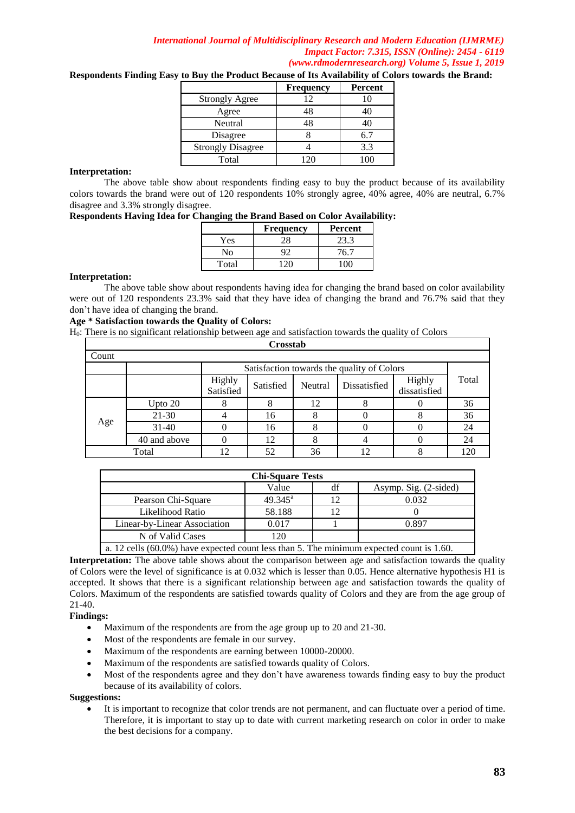|                          | <b>Frequency</b> | Percent |
|--------------------------|------------------|---------|
| <b>Strongly Agree</b>    | 12               |         |
| Agree                    | 48               |         |
| Neutral                  | 48               |         |
| Disagree                 |                  | 6.7     |
| <b>Strongly Disagree</b> |                  | 3.3     |
| Total                    | ∍יורי            |         |

**Respondents Finding Easy to Buy the Product Because of Its Availability of Colors towards the Brand:** 

## **Interpretation:**

The above table show about respondents finding easy to buy the product because of its availability colors towards the brand were out of 120 respondents 10% strongly agree, 40% agree, 40% are neutral, 6.7% disagree and 3.3% strongly disagree.

|  |  |  | Respondents Having Idea for Changing the Brand Based on Color Availability: |  |
|--|--|--|-----------------------------------------------------------------------------|--|
|  |  |  |                                                                             |  |

|       | <b>Frequency</b> | Percent |
|-------|------------------|---------|
| Yes   |                  | 23.3    |
| N٥    |                  | 76.7    |
| Total |                  |         |

### **Interpretation:**

The above table show about respondents having idea for changing the brand based on color availability were out of 120 respondents 23.3% said that they have idea of changing the brand and 76.7% said that they don't have idea of changing the brand.

## **Age \* Satisfaction towards the Quality of Colors:**

H0: There is no significant relationship between age and satisfaction towards the quality of Colors

| Crosstab |                                            |                     |           |         |              |                        |       |
|----------|--------------------------------------------|---------------------|-----------|---------|--------------|------------------------|-------|
| Count    |                                            |                     |           |         |              |                        |       |
|          | Satisfaction towards the quality of Colors |                     |           |         |              |                        |       |
|          |                                            | Highly<br>Satisfied | Satisfied | Neutral | Dissatisfied | Highly<br>dissatisfied | Total |
|          | Upto 20                                    |                     | 8         | 12      |              |                        | 36    |
|          | $21-30$                                    |                     | 16        | 8       |              | 8                      | 36    |
| Age      | $31-40$                                    |                     | 16        | 8       |              |                        | 24    |
|          | 40 and above                               |                     | 12        | 8       |              |                        | 24    |
|          | 52<br>36<br>12<br>Total<br>12<br>8         |                     |           |         |              |                        |       |

| <b>Chi-Square Tests</b>                                                                       |                  |  |       |  |  |  |
|-----------------------------------------------------------------------------------------------|------------------|--|-------|--|--|--|
| Asymp. Sig. (2-sided)<br>Value<br>df                                                          |                  |  |       |  |  |  |
| Pearson Chi-Square                                                                            | $49.345^{\circ}$ |  | 0.032 |  |  |  |
| Likelihood Ratio                                                                              | 58.188           |  |       |  |  |  |
| Linear-by-Linear Association                                                                  | 0.017            |  | 0.897 |  |  |  |
| N of Valid Cases                                                                              | 120              |  |       |  |  |  |
| $\alpha$ 12 cells (60.0%) have expected count less than 5. The minimum expected count is 1.60 |                  |  |       |  |  |  |

60.0%) have expected count less than 5. The minimum expected count is  $1.60$ 

**Interpretation:** The above table shows about the comparison between age and satisfaction towards the quality of Colors were the level of significance is at 0.032 which is lesser than 0.05. Hence alternative hypothesis H1 is accepted. It shows that there is a significant relationship between age and satisfaction towards the quality of Colors. Maximum of the respondents are satisfied towards quality of Colors and they are from the age group of 21-40.

## **Findings:**

- Maximum of the respondents are from the age group up to 20 and 21-30.
- Most of the respondents are female in our survey.
- Maximum of the respondents are earning between 10000-20000.
- Maximum of the respondents are satisfied towards quality of Colors.
- Most of the respondents agree and they don't have awareness towards finding easy to buy the product because of its availability of colors.

### **Suggestions:**

 It is important to recognize that color trends are not permanent, and can fluctuate over a period of time. Therefore, it is important to stay up to date with current marketing research on color in order to make the best decisions for a company.